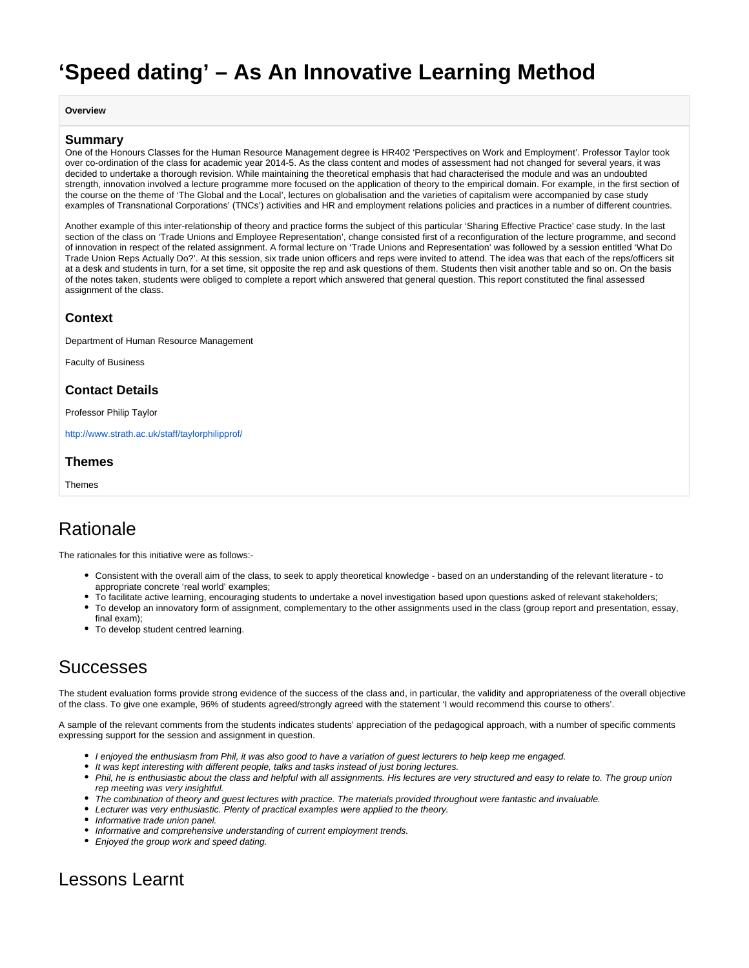# <span id="page-0-0"></span>**'Speed dating' – As An Innovative Learning Method**

**Overview**

#### **Summary**

One of the Honours Classes for the Human Resource Management degree is HR402 'Perspectives on Work and Employment'. Professor Taylor took over co-ordination of the class for academic year 2014-5. As the class content and modes of assessment had not changed for several years, it was decided to undertake a thorough revision. While maintaining the theoretical emphasis that had characterised the module and was an undoubted strength, innovation involved a lecture programme more focused on the application of theory to the empirical domain. For example, in the first section of the course on the theme of 'The Global and the Local', lectures on globalisation and the varieties of capitalism were accompanied by case study examples of Transnational Corporations' (TNCs') activities and HR and employment relations policies and practices in a number of different countries.

Another example of this inter-relationship of theory and practice forms the subject of this particular 'Sharing Effective Practice' case study. In the last section of the class on 'Trade Unions and Employee Representation', change consisted first of a reconfiguration of the lecture programme, and second of innovation in respect of the related assignment. A formal lecture on 'Trade Unions and Representation' was followed by a session entitled 'What Do Trade Union Reps Actually Do?'. At this session, six trade union officers and reps were invited to attend. The idea was that each of the reps/officers sit at a desk and students in turn, for a set time, sit opposite the rep and ask questions of them. Students then visit another table and so on. On the basis of the notes taken, students were obliged to complete a report which answered that general question. This report constituted the final assessed assignment of the class.

### **Context**

Department of Human Resource Management

Faculty of Business

### **Contact Details**

Professor Philip Taylor

<http://www.strath.ac.uk/staff/taylorphilipprof/>

#### **Themes**

**Themes** 

### Rationale

The rationales for this initiative were as follows:-

- Consistent with the overall aim of the class, to seek to apply theoretical knowledge based on an understanding of the relevant literature to appropriate concrete 'real world' examples;
- To facilitate active learning, encouraging students to undertake a novel investigation based upon questions asked of relevant stakeholders;
- To develop an innovatory form of assignment, complementary to the other assignments used in the class (group report and presentation, essay, final exam);
- To develop student centred learning

### Successes

The student evaluation forms provide strong evidence of the success of the class and, in particular, the validity and appropriateness of the overall objective of the class. To give one example, 96% of students agreed/strongly agreed with the statement 'I would recommend this course to others'.

A sample of the relevant comments from the students indicates students' appreciation of the pedagogical approach, with a number of specific comments expressing support for the session and assignment in question.

- I enjoyed the enthusiasm from Phil, it was also good to have a variation of guest lecturers to help keep me engaged.
- It was kept interesting with different people, talks and tasks instead of just boring lectures.
- Phil, he is enthusiastic about the class and helpful with all assignments. His lectures are very structured and easy to relate to. The group union rep meeting was very insightful.
- The combination of theory and guest lectures with practice. The materials provided throughout were fantastic and invaluable.
- Lecturer was very enthusiastic. Plenty of practical examples were applied to the theory.
- Informative trade union panel.
- Informative and comprehensive understanding of current employment trends.
- Enjoyed the group work and speed dating.

### Lessons Learnt